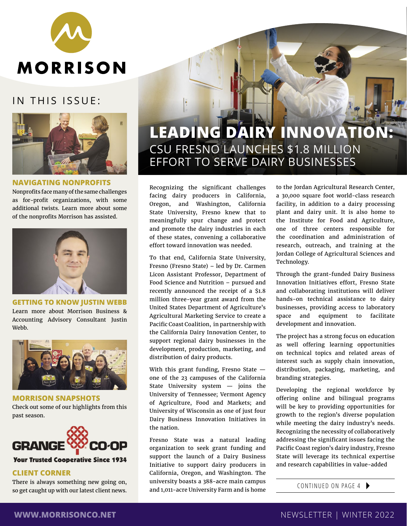

# IN THIS ISSUE:



### **NAVIGATING NONPROFITS**

Nonprofits face many of the same challenges as for-profit organizations, with some additional twists. Learn more about some of the nonprofits Morrison has assisted.



**GETTING TO KNOW JUSTIN WEBB** Learn more about Morrison Business & Accounting Advisory Consultant Justin Webb.



**MORRISON SNAPSHOTS** Check out some of our highlights from this past season.



## **Your Trusted Cooperative Since 1934**

### **CLIENT CORNER**

There is always something new going on, so get caught up with our latest client news.

# **LEADING DAIRY INNOVATION:** CSU FRESNO LAUNCHES \$1.8 MILLION EFFORT TO SERVE DAIRY BUSINESSES

Recognizing the significant challenges facing dairy producers in California, Oregon, and Washington, California State University, Fresno knew that to meaningfully spur change and protect and promote the dairy industries in each of these states, convening a collaborative effort toward innovation was needed.

To that end, California State University, Fresno (Fresno State) – led by Dr. Carmen Licon Assistant Professor, Department of Food Science and Nutrition – pursued and recently announced the receipt of a \$1.8 million three-year grant award from the United States Department of Agriculture's Agricultural Marketing Service to create a Pacific Coast Coalition, in partnership with the California Dairy Innovation Center, to support regional dairy businesses in the development, production, marketing, and distribution of dairy products.

With this grant funding, Fresno State one of the 23 campuses of the California State University system — joins the University of Tennessee; Vermont Agency of Agriculture, Food and Markets; and University of Wisconsin as one of just four Dairy Business Innovation Initiatives in the nation.

Fresno State was a natural leading organization to seek grant funding and support the launch of a Dairy Business Initiative to support dairy producers in California, Oregon, and Washington. The university boasts a 388-acre main campus and 1,011-acre University Farm and is home

to the Jordan Agricultural Research Center, a 30,000 square foot world-class research facility, in addition to a dairy processing plant and dairy unit. It is also home to the Institute for Food and Agriculture, one of three centers responsible for the coordination and administration of research, outreach, and training at the Jordan College of Agricultural Sciences and Technology.

Through the grant-funded Dairy Business Innovation Initiatives effort, Fresno State and collaborating institutions will deliver hands-on technical assistance to dairy businesses, providing access to laboratory space and equipment to facilitate development and innovation.

The project has a strong focus on education as well offering learning opportunities on technical topics and related areas of interest such as supply chain innovation, distribution, packaging, marketing, and branding strategies.

Developing the regional workforce by offering online and bilingual programs will be key to providing opportunities for growth to the region's diverse population while meeting the dairy industry's needs. Recognizing the necessity of collaboratively addressing the significant issues facing the Pacific Coast region's dairy industry, Fresno State will leverage its technical expertise and research capabilities in value-added

CONTINUED ON PAGE 4